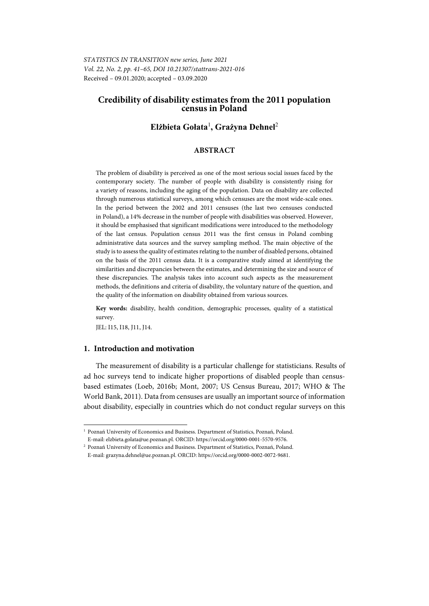*STATISTICS IN TRANSITION new series, June 2021 Vol. 22, No. 2, pp. 41–65, DOI 10.21307/stattrans-2021-016*  Received – 09.01.2020; accepted – 03.09.2020

# **Credibility of disability estimates from the 2011 population census in Poland**

# **Elżbieta Gołata**<sup>1</sup> **, Grażyna Dehnel**<sup>2</sup>

## **ABSTRACT**

The problem of disability is perceived as one of the most serious social issues faced by the contemporary society. The number of people with disability is consistently rising for a variety of reasons, including the aging of the population. Data on disability are collected through numerous statistical surveys, among which censuses are the most wide-scale ones. In the period between the 2002 and 2011 censuses (the last two censuses conducted in Poland), a 14% decrease in the number of people with disabilities was observed. However, it should be emphasised that significant modifications were introduced to the methodology of the last census. Population census 2011 was the first census in Poland combing administrative data sources and the survey sampling method. The main objective of the study is to assess the quality of estimates relating to the number of disabled persons, obtained on the basis of the 2011 census data. It is a comparative study aimed at identifying the similarities and discrepancies between the estimates, and determining the size and source of these discrepancies. The analysis takes into account such aspects as the measurement methods, the definitions and criteria of disability, the voluntary nature of the question, and the quality of the information on disability obtained from various sources.

**Key words:** disability, health condition, demographic processes, quality of a statistical survey.

JEL: I15, I18, J11, J14.

l

## **1. Introduction and motivation**

The measurement of disability is a particular challenge for statisticians. Results of ad hoc surveys tend to indicate higher proportions of disabled people than censusbased estimates (Loeb, 2016b; Mont, 2007; US Census Bureau, 2017; WHO & The World Bank, 2011). Data from censuses are usually an important source of information about disability, especially in countries which do not conduct regular surveys on this

<sup>&</sup>lt;sup>1</sup> Poznań University of Economics and Business. Department of Statistics, Poznań, Poland.

E-mail: elzbieta.golata@ue.poznan.pl. ORCID: https://orcid.org/0000-0001-5570-9576. 2 Poznań University of Economics and Business. Department of Statistics, Poznań, Poland.

E-mail: grazyna.dehnel@ue.poznan.pl. ORCID: https://orcid.org/0000-0002-0072-9681.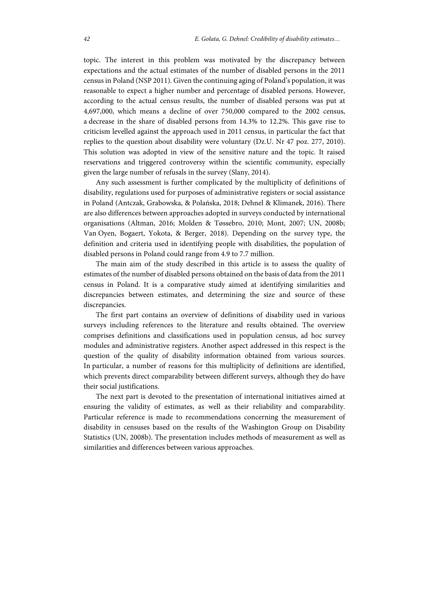topic. The interest in this problem was motivated by the discrepancy between expectations and the actual estimates of the number of disabled persons in the 2011 census in Poland (NSP 2011). Given the continuing aging of Poland's population, it was reasonable to expect a higher number and percentage of disabled persons. However, according to the actual census results, the number of disabled persons was put at 4,697,000, which means a decline of over 750,000 compared to the 2002 census, a decrease in the share of disabled persons from 14.3% to 12.2%. This gave rise to criticism levelled against the approach used in 2011 census, in particular the fact that replies to the question about disability were voluntary (Dz.U. Nr 47 poz. 277, 2010). This solution was adopted in view of the sensitive nature and the topic. It raised reservations and triggered controversy within the scientific community, especially given the large number of refusals in the survey (Slany, 2014).

Any such assessment is further complicated by the multiplicity of definitions of disability, regulations used for purposes of administrative registers or social assistance in Poland (Antczak, Grabowska, & Polańska, 2018; Dehnel & Klimanek, 2016). There are also differences between approaches adopted in surveys conducted by international organisations (Altman, 2016; Molden & Tøssebro, 2010; Mont, 2007; UN, 2008b; Van Oyen, Bogaert, Yokota, & Berger, 2018). Depending on the survey type, the definition and criteria used in identifying people with disabilities, the population of disabled persons in Poland could range from 4.9 to 7.7 million.

The main aim of the study described in this article is to assess the quality of estimates of the number of disabled persons obtained on the basis of data from the 2011 census in Poland. It is a comparative study aimed at identifying similarities and discrepancies between estimates, and determining the size and source of these discrepancies.

The first part contains an overview of definitions of disability used in various surveys including references to the literature and results obtained. The overview comprises definitions and classifications used in population census, ad hoc survey modules and administrative registers. Another aspect addressed in this respect is the question of the quality of disability information obtained from various sources. In particular, a number of reasons for this multiplicity of definitions are identified, which prevents direct comparability between different surveys, although they do have their social justifications.

The next part is devoted to the presentation of international initiatives aimed at ensuring the validity of estimates, as well as their reliability and comparability. Particular reference is made to recommendations concerning the measurement of disability in censuses based on the results of the Washington Group on Disability Statistics (UN, 2008b). The presentation includes methods of measurement as well as similarities and differences between various approaches.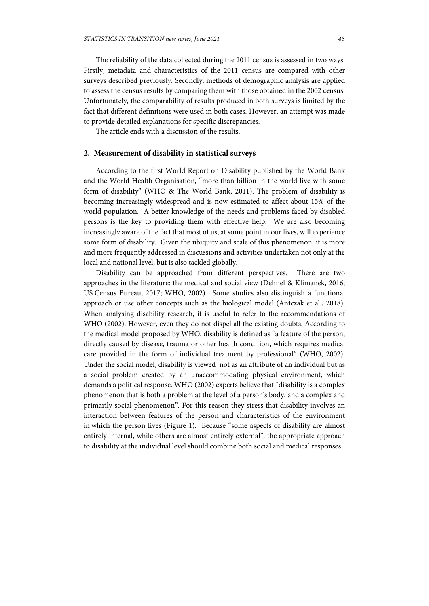The reliability of the data collected during the 2011 census is assessed in two ways. Firstly, metadata and characteristics of the 2011 census are compared with other surveys described previously. Secondly, methods of demographic analysis are applied to assess the census results by comparing them with those obtained in the 2002 census. Unfortunately, the comparability of results produced in both surveys is limited by the fact that different definitions were used in both cases. However, an attempt was made to provide detailed explanations for specific discrepancies.

The article ends with a discussion of the results.

## **2. Measurement of disability in statistical surveys**

According to the first World Report on Disability published by the World Bank and the World Health Organisation, "more than billion in the world live with some form of disability" (WHO & The World Bank, 2011). The problem of disability is becoming increasingly widespread and is now estimated to affect about 15% of the world population. A better knowledge of the needs and problems faced by disabled persons is the key to providing them with effective help. We are also becoming increasingly aware of the fact that most of us, at some point in our lives, will experience some form of disability. Given the ubiquity and scale of this phenomenon, it is more and more frequently addressed in discussions and activities undertaken not only at the local and national level, but is also tackled globally.

Disability can be approached from different perspectives. There are two approaches in the literature: the medical and social view (Dehnel & Klimanek, 2016; US Census Bureau, 2017; WHO, 2002). Some studies also distinguish a functional approach or use other concepts such as the biological model (Antczak et al., 2018). When analysing disability research, it is useful to refer to the recommendations of WHO (2002). However, even they do not dispel all the existing doubts. According to the medical model proposed by WHO, disability is defined as "a feature of the person, directly caused by disease, trauma or other health condition, which requires medical care provided in the form of individual treatment by professional" (WHO, 2002). Under the social model, disability is viewed not as an attribute of an individual but as a social problem created by an unaccommodating physical environment, which demands a political response. WHO (2002) experts believe that "disability is a complex phenomenon that is both a problem at the level of a person's body, and a complex and primarily social phenomenon". For this reason they stress that disability involves an interaction between features of the person and characteristics of the environment in which the person lives (Figure 1). Because "some aspects of disability are almost entirely internal, while others are almost entirely external", the appropriate approach to disability at the individual level should combine both social and medical responses.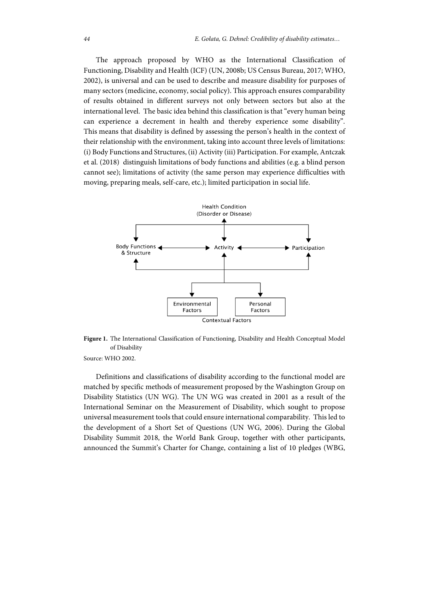The approach proposed by WHO as the International Classification of Functioning, Disability and Health (ICF) (UN, 2008b; US Census Bureau, 2017; WHO, 2002), is universal and can be used to describe and measure disability for purposes of many sectors (medicine, economy, social policy). This approach ensures comparability of results obtained in different surveys not only between sectors but also at the international level. The basic idea behind this classification is that "every human being can experience a decrement in health and thereby experience some disability". This means that disability is defined by assessing the person's health in the context of their relationship with the environment, taking into account three levels of limitations: (i) Body Functions and Structures, (ii) Activity (iii) Participation. For example, Antczak et al. (2018) distinguish limitations of body functions and abilities (e.g. a blind person cannot see); limitations of activity (the same person may experience difficulties with moving, preparing meals, self-care, etc.); limited participation in social life.



**Figure 1.** The International Classification of Functioning, Disability and Health Conceptual Model of Disability

Source: WHO 2002.

Definitions and classifications of disability according to the functional model are matched by specific methods of measurement proposed by the Washington Group on Disability Statistics (UN WG). The UN WG was created in 2001 as a result of the International Seminar on the Measurement of Disability, which sought to propose universal measurement tools that could ensure international comparability. This led to the development of a Short Set of Questions (UN WG, 2006). During the Global Disability Summit 2018, the World Bank Group, together with other participants, announced the Summit's Charter for Change, containing a list of 10 pledges (WBG,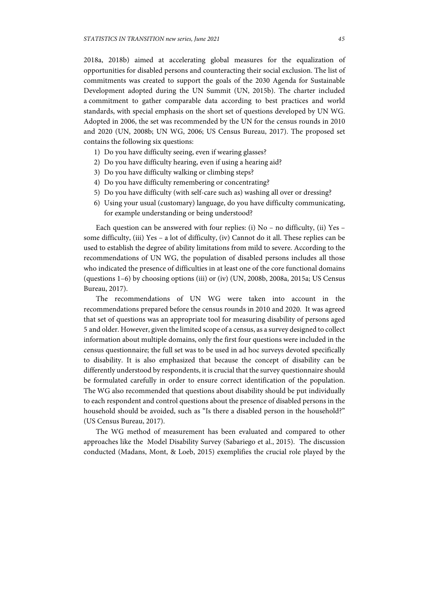2018a, 2018b) aimed at accelerating global measures for the equalization of opportunities for disabled persons and counteracting their social exclusion. The list of commitments was created to support the goals of the 2030 Agenda for Sustainable Development adopted during the UN Summit (UN, 2015b). The charter included a commitment to gather comparable data according to best practices and world standards, with special emphasis on the short set of questions developed by UN WG. Adopted in 2006, the set was recommended by the UN for the census rounds in 2010 and 2020 (UN, 2008b; UN WG, 2006; US Census Bureau, 2017). The proposed set contains the following six questions:

- 1) Do you have difficulty seeing, even if wearing glasses?
- 2) Do you have difficulty hearing, even if using a hearing aid?
- 3) Do you have difficulty walking or climbing steps?
- 4) Do you have difficulty remembering or concentrating?
- 5) Do you have difficulty (with self-care such as) washing all over or dressing?
- 6) Using your usual (customary) language, do you have difficulty communicating, for example understanding or being understood?

Each question can be answered with four replies: (i) No – no difficulty, (ii) Yes – some difficulty, (iii) Yes – a lot of difficulty, (iv) Cannot do it all. These replies can be used to establish the degree of ability limitations from mild to severe. According to the recommendations of UN WG, the population of disabled persons includes all those who indicated the presence of difficulties in at least one of the core functional domains (questions 1–6) by choosing options (iii) or (iv) (UN, 2008b, 2008a, 2015a; US Census Bureau, 2017).

The recommendations of UN WG were taken into account in the recommendations prepared before the census rounds in 2010 and 2020. It was agreed that set of questions was an appropriate tool for measuring disability of persons aged 5 and older. However, given the limited scope of a census, as a survey designed to collect information about multiple domains, only the first four questions were included in the census questionnaire; the full set was to be used in ad hoc surveys devoted specifically to disability. It is also emphasized that because the concept of disability can be differently understood by respondents, it is crucial that the survey questionnaire should be formulated carefully in order to ensure correct identification of the population. The WG also recommended that questions about disability should be put individually to each respondent and control questions about the presence of disabled persons in the household should be avoided, such as "Is there a disabled person in the household?" (US Census Bureau, 2017).

The WG method of measurement has been evaluated and compared to other approaches like the Model Disability Survey (Sabariego et al., 2015). The discussion conducted (Madans, Mont, & Loeb, 2015) exemplifies the crucial role played by the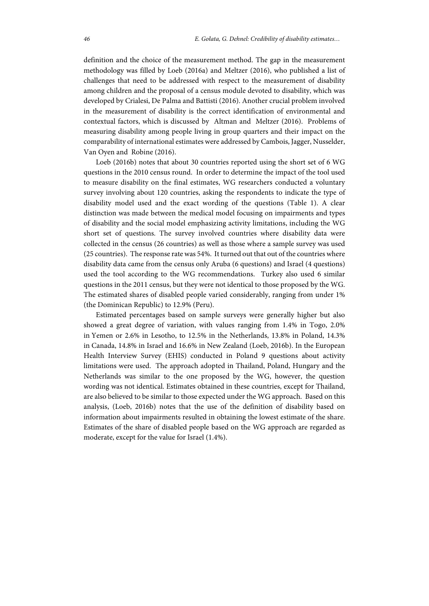definition and the choice of the measurement method. The gap in the measurement methodology was filled by Loeb (2016a) and Meltzer (2016), who published a list of challenges that need to be addressed with respect to the measurement of disability among children and the proposal of a census module devoted to disability, which was developed by Crialesi, De Palma and Battisti (2016). Another crucial problem involved in the measurement of disability is the correct identification of environmental and contextual factors, which is discussed by Altman and Meltzer (2016). Problems of measuring disability among people living in group quarters and their impact on the comparability of international estimates were addressed by Cambois, Jagger, Nusselder, Van Oyen and Robine (2016).

Loeb (2016b) notes that about 30 countries reported using the short set of 6 WG questions in the 2010 census round. In order to determine the impact of the tool used to measure disability on the final estimates, WG researchers conducted a voluntary survey involving about 120 countries, asking the respondents to indicate the type of disability model used and the exact wording of the questions (Table 1). A clear distinction was made between the medical model focusing on impairments and types of disability and the social model emphasizing activity limitations, including the WG short set of questions. The survey involved countries where disability data were collected in the census (26 countries) as well as those where a sample survey was used (25 countries). The response rate was 54%. It turned out that out of the countries where disability data came from the census only Aruba (6 questions) and Israel (4 questions) used the tool according to the WG recommendations. Turkey also used 6 similar questions in the 2011 census, but they were not identical to those proposed by the WG. The estimated shares of disabled people varied considerably, ranging from under 1% (the Dominican Republic) to 12.9% (Peru).

Estimated percentages based on sample surveys were generally higher but also showed a great degree of variation, with values ranging from 1.4% in Togo, 2.0% in Yemen or 2.6% in Lesotho, to 12.5% in the Netherlands, 13.8% in Poland, 14.3% in Canada, 14.8% in Israel and 16.6% in New Zealand (Loeb, 2016b). In the European Health Interview Survey (EHIS) conducted in Poland 9 questions about activity limitations were used. The approach adopted in Thailand, Poland, Hungary and the Netherlands was similar to the one proposed by the WG, however, the question wording was not identical. Estimates obtained in these countries, except for Thailand, are also believed to be similar to those expected under the WG approach. Based on this analysis, (Loeb, 2016b) notes that the use of the definition of disability based on information about impairments resulted in obtaining the lowest estimate of the share. Estimates of the share of disabled people based on the WG approach are regarded as moderate, except for the value for Israel (1.4%).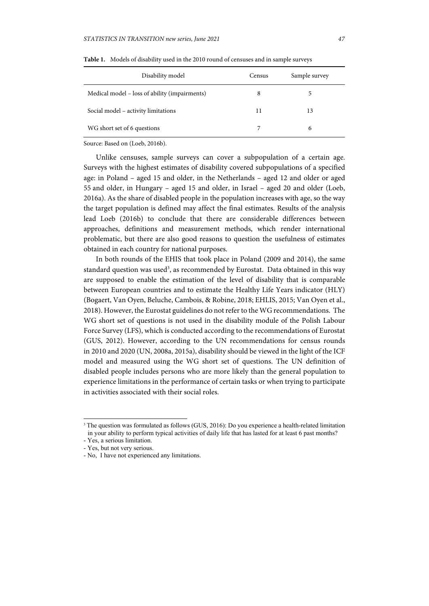| Disability model                              | Census | Sample survey |
|-----------------------------------------------|--------|---------------|
| Medical model – loss of ability (impairments) | 8      |               |
| Social model – activity limitations           | 11     | 13            |
| WG short set of 6 questions                   |        | 6             |

**Table 1.** Models of disability used in the 2010 round of censuses and in sample surveys

Source: Based on (Loeb, 2016b).

Unlike censuses, sample surveys can cover a subpopulation of a certain age. Surveys with the highest estimates of disability covered subpopulations of a specified age: in Poland – aged 15 and older, in the Netherlands – aged 12 and older or aged 55 and older, in Hungary – aged 15 and older, in Israel – aged 20 and older (Loeb, 2016a). As the share of disabled people in the population increases with age, so the way the target population is defined may affect the final estimates. Results of the analysis lead Loeb (2016b) to conclude that there are considerable differences between approaches, definitions and measurement methods, which render international problematic, but there are also good reasons to question the usefulness of estimates obtained in each country for national purposes.

In both rounds of the EHIS that took place in Poland (2009 and 2014), the same standard question was used<sup>3</sup>, as recommended by Eurostat. Data obtained in this way are supposed to enable the estimation of the level of disability that is comparable between European countries and to estimate the Healthy Life Years indicator (HLY) (Bogaert, Van Oyen, Beluche, Cambois, & Robine, 2018; EHLIS, 2015; Van Oyen et al., 2018). However, the Eurostat guidelines do not refer to the WG recommendations. The WG short set of questions is not used in the disability module of the Polish Labour Force Survey (LFS), which is conducted according to the recommendations of Eurostat (GUS, 2012). However, according to the UN recommendations for census rounds in 2010 and 2020 (UN, 2008a, 2015a), disability should be viewed in the light of the ICF model and measured using the WG short set of questions. The UN definition of disabled people includes persons who are more likely than the general population to experience limitations in the performance of certain tasks or when trying to participate in activities associated with their social roles.

l

<sup>&</sup>lt;sup>3</sup> The question was formulated as follows (GUS, 2016): Do you experience a health-related limitation in your ability to perform typical activities of daily life that has lasted for at least 6 past months?

<sup>-</sup> Yes, a serious limitation.

<sup>-</sup> Yes, but not very serious.

<sup>-</sup> No, I have not experienced any limitations.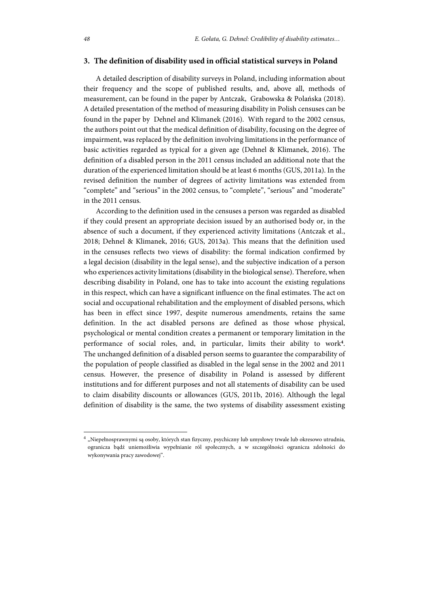## **3. The definition of disability used in official statistical surveys in Poland**

A detailed description of disability surveys in Poland, including information about their frequency and the scope of published results, and, above all, methods of measurement, can be found in the paper by Antczak, Grabowska & Polańska (2018). A detailed presentation of the method of measuring disability in Polish censuses can be found in the paper by Dehnel and Klimanek (2016). With regard to the 2002 census, the authors point out that the medical definition of disability, focusing on the degree of impairment, was replaced by the definition involving limitations in the performance of basic activities regarded as typical for a given age (Dehnel & Klimanek, 2016). The definition of a disabled person in the 2011 census included an additional note that the duration of the experienced limitation should be at least 6 months (GUS, 2011a). In the revised definition the number of degrees of activity limitations was extended from "complete" and "serious" in the 2002 census, to "complete", "serious" and "moderate" in the 2011 census.

According to the definition used in the censuses a person was regarded as disabled if they could present an appropriate decision issued by an authorised body or, in the absence of such a document, if they experienced activity limitations (Antczak et al., 2018; Dehnel & Klimanek, 2016; GUS, 2013a). This means that the definition used in the censuses reflects two views of disability: the formal indication confirmed by a legal decision (disability in the legal sense), and the subjective indication of a person who experiences activity limitations (disability in the biological sense). Therefore, when describing disability in Poland, one has to take into account the existing regulations in this respect, which can have a significant influence on the final estimates. The act on social and occupational rehabilitation and the employment of disabled persons, which has been in effect since 1997, despite numerous amendments, retains the same definition. In the act disabled persons are defined as those whose physical, psychological or mental condition creates a permanent or temporary limitation in the performance of social roles, and, in particular, limits their ability to work**<sup>4</sup>** . The unchanged definition of a disabled person seems to guarantee the comparability of the population of people classified as disabled in the legal sense in the 2002 and 2011 census. However, the presence of disability in Poland is assessed by different institutions and for different purposes and not all statements of disability can be used to claim disability discounts or allowances (GUS, 2011b, 2016). Although the legal definition of disability is the same, the two systems of disability assessment existing

l

 $^4$  "Niepełnosprawnymi są osoby, których stan fizyczny, psychiczny lub umysłowy trwale lub okresowo utrudnia, ogranicza bądź uniemożliwia wypełnianie ról społecznych, a w szczególności ogranicza zdolności do wykonywania pracy zawodowej".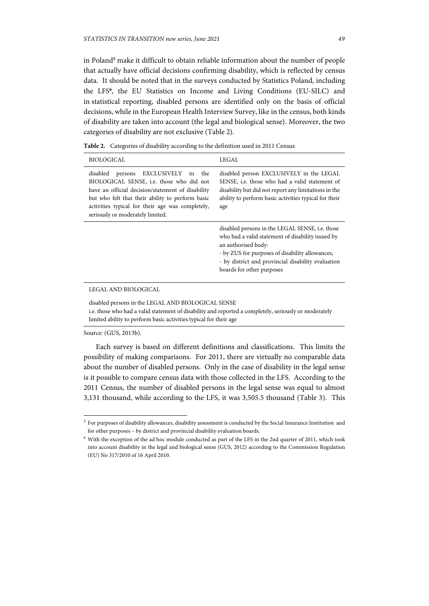in Poland**<sup>5</sup>** make it difficult to obtain reliable information about the number of people that actually have official decisions confirming disability, which is reflected by census data. It should be noted that in the surveys conducted by Statistics Poland, including the LFS**<sup>6</sup>** , the EU Statistics on Income and Living Conditions (EU-SILC) and in statistical reporting, disabled persons are identified only on the basis of official decisions, while in the European Health Interview Survey, like in the census, both kinds of disability are taken into account (the legal and biological sense). Moreover, the two categories of disability are not exclusive (Table 2).

**Table 2.** Categories of disability according to the definition used in 2011 Census

| <b>BIOLOGICAL</b>                                                                                                                                                                                                                                                                            | LEGAL                                                                                                                                                                                                                                                             |
|----------------------------------------------------------------------------------------------------------------------------------------------------------------------------------------------------------------------------------------------------------------------------------------------|-------------------------------------------------------------------------------------------------------------------------------------------------------------------------------------------------------------------------------------------------------------------|
| disabled<br>EXCLUSIVELY<br>persons<br>in<br>the<br>BIOLOGICAL SENSE, i.e. those who did not<br>have an official decision/statement of disability<br>but who felt that their ability to perform basic<br>activities typical for their age was completely,<br>seriously or moderately limited. | disabled person EXCLUSIVELY in the LEGAL<br>SENSE, i.e. those who had a valid statement of<br>disability but did not report any limitations in the<br>ability to perform basic activities typical for their<br>age                                                |
|                                                                                                                                                                                                                                                                                              | disabled persons in the LEGAL SENSE, i.e. those<br>who had a valid statement of disability issued by<br>an authorised body:<br>- by ZUS for purposes of disability allowances,<br>- by district and provincial disability evaluation<br>boards for other purposes |
| LEGAL AND BIOLOGICAL                                                                                                                                                                                                                                                                         |                                                                                                                                                                                                                                                                   |

disabled persons in the LEGAL AND BIOLOGICAL SENSE i.e. those who had a valid statement of disability and reported a completely, seriously or moderately limited ability to perform basic activities typical for their age

#### Source: (GUS, 2013b).

l

Each survey is based on different definitions and classifications. This limits the possibility of making comparisons. For 2011, there are virtually no comparable data about the number of disabled persons. Only in the case of disability in the legal sense is it possible to compare census data with those collected in the LFS. According to the 2011 Census, the number of disabled persons in the legal sense was equal to almost 3,131 thousand, while according to the LFS, it was 3,505.5 thousand (Table 3). This

<sup>5</sup> For purposes of disability allowances, disability assessment is conducted by the Social Insurance Institution and for other purposes – by district and provincial disability evaluation boards.

<sup>6</sup> With the exception of the ad hoc module conducted as part of the LFS in the 2nd quarter of 2011, which took into account disability in the legal and biological sense (GUS, 2012) according to the Commission Regulation (EU) No 317/2010 of 16 April 2010.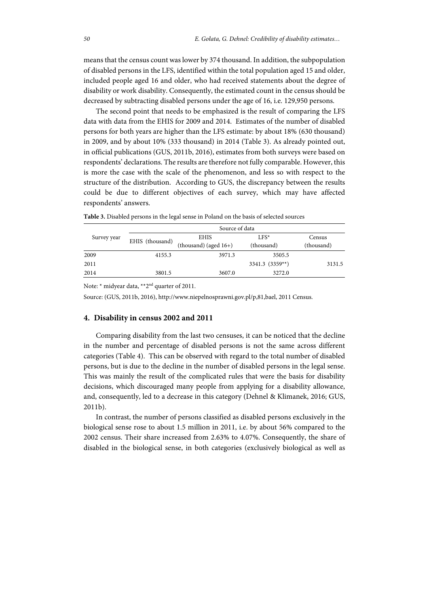means that the census count was lower by 374 thousand. In addition, the subpopulation of disabled persons in the LFS, identified within the total population aged 15 and older, included people aged 16 and older, who had received statements about the degree of disability or work disability. Consequently, the estimated count in the census should be decreased by subtracting disabled persons under the age of 16, i.e. 129,950 persons.

The second point that needs to be emphasized is the result of comparing the LFS data with data from the EHIS for 2009 and 2014. Estimates of the number of disabled persons for both years are higher than the LFS estimate: by about 18% (630 thousand) in 2009, and by about 10% (333 thousand) in 2014 (Table 3). As already pointed out, in official publications (GUS, 2011b, 2016), estimates from both surveys were based on respondents' declarations. The results are therefore not fully comparable. However, this is more the case with the scale of the phenomenon, and less so with respect to the structure of the distribution. According to GUS, the discrepancy between the results could be due to different objectives of each survey, which may have affected respondents' answers.

|             | Source of data  |                          |                 |            |  |  |
|-------------|-----------------|--------------------------|-----------------|------------|--|--|
| Survey year | EHIS (thousand) | <b>EHIS</b>              | $LFS^*$         | Census     |  |  |
|             |                 | (thousand) (aged $16+$ ) | (thousand)      | (thousand) |  |  |
| 2009        | 4155.3          | 3971.3                   | 3505.5          |            |  |  |
| 2011        |                 |                          | 3341.3 (3359**) | 3131.5     |  |  |
| 2014        | 3801.5          | 3607.0                   | 3272.0          |            |  |  |

**Table 3.** Disabled persons in the legal sense in Poland on the basis of selected sources

Note: \* midyear data, \*\*2nd quarter of 2011.

Source: (GUS, 2011b, 2016), http://www.niepelnosprawni.gov.pl/p,81,bael, 2011 Census.

## **4. Disability in census 2002 and 2011**

Comparing disability from the last two censuses, it can be noticed that the decline in the number and percentage of disabled persons is not the same across different categories (Table 4). This can be observed with regard to the total number of disabled persons, but is due to the decline in the number of disabled persons in the legal sense. This was mainly the result of the complicated rules that were the basis for disability decisions, which discouraged many people from applying for a disability allowance, and, consequently, led to a decrease in this category (Dehnel & Klimanek, 2016; GUS, 2011b).

In contrast, the number of persons classified as disabled persons exclusively in the biological sense rose to about 1.5 million in 2011, i.e. by about 56% compared to the 2002 census. Their share increased from 2.63% to 4.07%. Consequently, the share of disabled in the biological sense, in both categories (exclusively biological as well as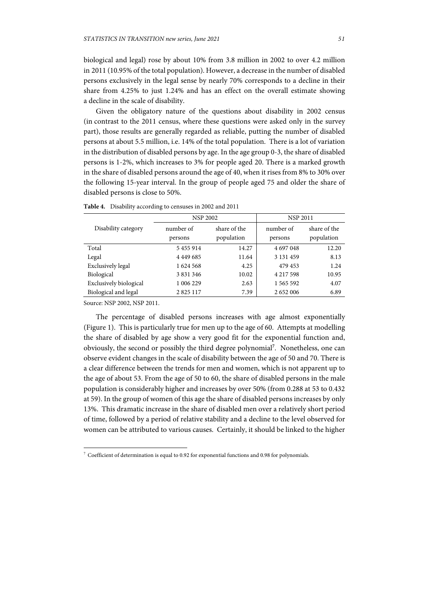biological and legal) rose by about 10% from 3.8 million in 2002 to over 4.2 million in 2011 (10.95% of the total population). However, a decrease in the number of disabled persons exclusively in the legal sense by nearly 70% corresponds to a decline in their share from 4.25% to just 1.24% and has an effect on the overall estimate showing a decline in the scale of disability.

Given the obligatory nature of the questions about disability in 2002 census (in contrast to the 2011 census, where these questions were asked only in the survey part), those results are generally regarded as reliable, putting the number of disabled persons at about 5.5 million, i.e. 14% of the total population. There is a lot of variation in the distribution of disabled persons by age. In the age group 0-3, the share of disabled persons is 1-2%, which increases to 3% for people aged 20. There is a marked growth in the share of disabled persons around the age of 40, when it rises from 8% to 30% over the following 15-year interval. In the group of people aged 75 and older the share of disabled persons is close to 50%.

|                        | <b>NSP 2002</b>      |                            | <b>NSP 2011</b>      |                            |  |
|------------------------|----------------------|----------------------------|----------------------|----------------------------|--|
| Disability category    | number of<br>persons | share of the<br>population | number of<br>persons | share of the<br>population |  |
| Total                  | 5455914              | 14.27                      | 4 697 048            | 12.20                      |  |
| Legal                  | 4 4 4 9 6 8 5        | 11.64                      | 3 131 459            | 8.13                       |  |
| Exclusively legal      | 1624 568             | 4.25                       | 479 453              | 1.24                       |  |
| Biological             | 3 8 3 1 3 4 6        | 10.02                      | 4 2 1 7 5 9 8        | 10.95                      |  |
| Exclusively biological | 1 006 229            | 2.63                       | 1 565 592            | 4.07                       |  |
| Biological and legal   | 2 8 2 5 1 1 7        | 7.39                       | 2 652 006            | 6.89                       |  |

**Table 4.** Disability according to censuses in 2002 and 2011

Source: NSP 2002, NSP 2011.

l

The percentage of disabled persons increases with age almost exponentially (Figure 1). This is particularly true for men up to the age of 60. Attempts at modelling the share of disabled by age show a very good fit for the exponential function and, obviously, the second or possibly the third degree polynomial**<sup>7</sup>** . Nonetheless, one can observe evident changes in the scale of disability between the age of 50 and 70. There is a clear difference between the trends for men and women, which is not apparent up to the age of about 53. From the age of 50 to 60, the share of disabled persons in the male population is considerably higher and increases by over 50% (from 0.288 at 53 to 0.432 at 59). In the group of women of this age the share of disabled persons increases by only 13%. This dramatic increase in the share of disabled men over a relatively short period of time, followed by a period of relative stability and a decline to the level observed for women can be attributed to various causes. Certainly, it should be linked to the higher

 $7$  Coefficient of determination is equal to 0.92 for exponential functions and 0.98 for polynomials.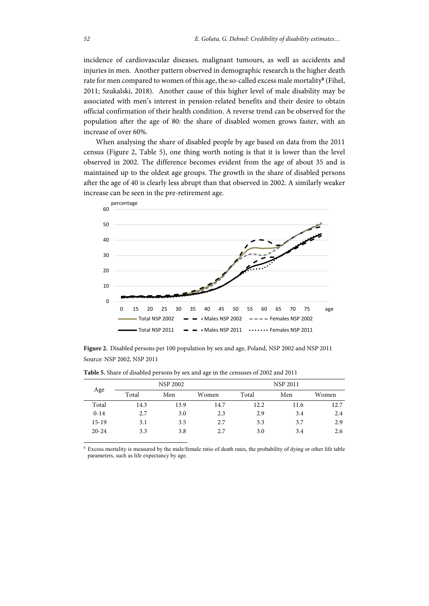incidence of cardiovascular diseases, malignant tumours, as well as accidents and injuries in men. Another pattern observed in demographic research is the higher death rate for men compared to women of this age, the so-called excess male mortality**<sup>8</sup>** (Fihel, 2011; Szukalski, 2018). Another cause of this higher level of male disability may be associated with men's interest in pension-related benefits and their desire to obtain official confirmation of their health condition. A reverse trend can be observed for the population after the age of 80: the share of disabled women grows faster, with an increase of over 60%.

When analysing the share of disabled people by age based on data from the 2011 census (Figure 2, Table 5), one thing worth noting is that it is lower than the level observed in 2002. The difference becomes evident from the age of about 35 and is maintained up to the oldest age groups. The growth in the share of disabled persons after the age of 40 is clearly less abrupt than that observed in 2002. A similarly weaker increase can be seen in the pre-retirement age.



**Figure 2.** Disabled persons per 100 population by sex and age, Poland, NSP 2002 and NSP 2011 Source: NSP 2002, NSP 2011

|           | <b>NSP 2002</b> |      |       | <b>NSP 2011</b> |      |       |
|-----------|-----------------|------|-------|-----------------|------|-------|
| Age       | Total           | Men  | Women | Total           | Men  | Women |
| Total     | 14.3            | 13.9 | 14.7  | 12.2            | 11.6 | 12.7  |
| $0 - 14$  | 2.7             | 3.0  | 2.3   | 2.9             | 3.4  | 2.4   |
| $15-19$   | 3.1             | 3.5  | 2.7   | 3.3             | 3.7  | 2.9   |
| $20 - 24$ | 3.3             | 3.8  | 2.7   | 3.0             | 3.4  | 2.6   |

**Table 5.** Share of disabled persons by sex and age in the censuses of 2002 and 2011

8 Excess mortality is measured by the male/female ratio of death rates, the probability of dying or other life table parameters, such as life expectancy by age.

l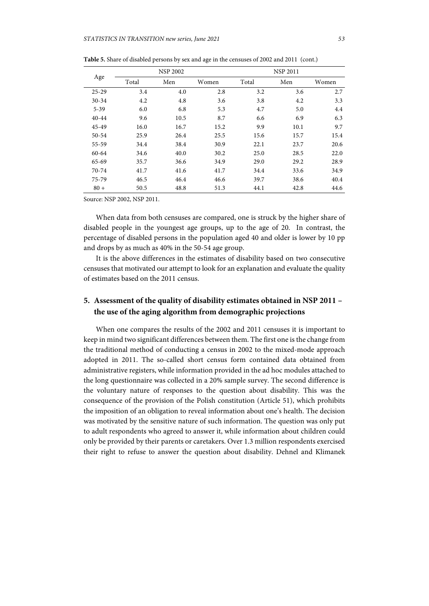|           |       | <b>NSP 2002</b> |       |       | <b>NSP 2011</b> |       |  |
|-----------|-------|-----------------|-------|-------|-----------------|-------|--|
| Age       | Total | Men             | Women | Total | Men             | Women |  |
| $25 - 29$ | 3.4   | 4.0             | 2.8   | 3.2   | 3.6             | 2.7   |  |
| $30 - 34$ | 4.2   | 4.8             | 3.6   | 3.8   | 4.2             | 3.3   |  |
| $5 - 39$  | 6.0   | 6.8             | 5.3   | 4.7   | 5.0             | 4.4   |  |
| 40-44     | 9.6   | 10.5            | 8.7   | 6.6   | 6.9             | 6.3   |  |
| 45-49     | 16.0  | 16.7            | 15.2  | 9.9   | 10.1            | 9.7   |  |
| 50-54     | 25.9  | 26.4            | 25.5  | 15.6  | 15.7            | 15.4  |  |
| 55-59     | 34.4  | 38.4            | 30.9  | 22.1  | 23.7            | 20.6  |  |
| 60-64     | 34.6  | 40.0            | 30.2  | 25.0  | 28.5            | 22.0  |  |
| 65-69     | 35.7  | 36.6            | 34.9  | 29.0  | 29.2            | 28.9  |  |
| 70-74     | 41.7  | 41.6            | 41.7  | 34.4  | 33.6            | 34.9  |  |
| 75-79     | 46.5  | 46.4            | 46.6  | 39.7  | 38.6            | 40.4  |  |
| $80 +$    | 50.5  | 48.8            | 51.3  | 44.1  | 42.8            | 44.6  |  |

**Table 5.** Share of disabled persons by sex and age in the censuses of 2002 and 2011 (cont.)

Source: NSP 2002, NSP 2011.

When data from both censuses are compared, one is struck by the higher share of disabled people in the youngest age groups, up to the age of 20. In contrast, the percentage of disabled persons in the population aged 40 and older is lower by 10 pp and drops by as much as 40% in the 50-54 age group.

It is the above differences in the estimates of disability based on two consecutive censuses that motivated our attempt to look for an explanation and evaluate the quality of estimates based on the 2011 census.

# **5. Assessment of the quality of disability estimates obtained in NSP 2011 – the use of the aging algorithm from demographic projections**

When one compares the results of the 2002 and 2011 censuses it is important to keep in mind two significant differences between them. The first one is the change from the traditional method of conducting a census in 2002 to the mixed-mode approach adopted in 2011. The so-called short census form contained data obtained from administrative registers, while information provided in the ad hoc modules attached to the long questionnaire was collected in a 20% sample survey. The second difference is the voluntary nature of responses to the question about disability. This was the consequence of the provision of the Polish constitution (Article 51), which prohibits the imposition of an obligation to reveal information about one's health. The decision was motivated by the sensitive nature of such information. The question was only put to adult respondents who agreed to answer it, while information about children could only be provided by their parents or caretakers. Over 1.3 million respondents exercised their right to refuse to answer the question about disability. Dehnel and Klimanek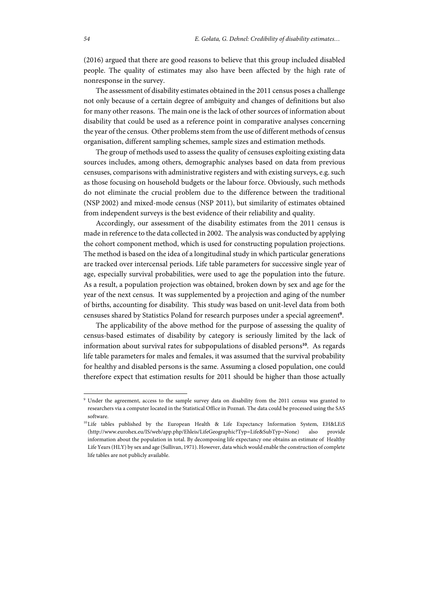(2016) argued that there are good reasons to believe that this group included disabled people. The quality of estimates may also have been affected by the high rate of nonresponse in the survey.

The assessment of disability estimates obtained in the 2011 census poses a challenge not only because of a certain degree of ambiguity and changes of definitions but also for many other reasons. The main one is the lack of other sources of information about disability that could be used as a reference point in comparative analyses concerning the year of the census. Other problems stem from the use of different methods of census organisation, different sampling schemes, sample sizes and estimation methods.

The group of methods used to assess the quality of censuses exploiting existing data sources includes, among others, demographic analyses based on data from previous censuses, comparisons with administrative registers and with existing surveys, e.g. such as those focusing on household budgets or the labour force. Obviously, such methods do not eliminate the crucial problem due to the difference between the traditional (NSP 2002) and mixed-mode census (NSP 2011), but similarity of estimates obtained from independent surveys is the best evidence of their reliability and quality.

Accordingly, our assessment of the disability estimates from the 2011 census is made in reference to the data collected in 2002. The analysis was conducted by applying the cohort component method, which is used for constructing population projections. The method is based on the idea of a longitudinal study in which particular generations are tracked over intercensal periods. Life table parameters for successive single year of age, especially survival probabilities, were used to age the population into the future. As a result, a population projection was obtained, broken down by sex and age for the year of the next census. It was supplemented by a projection and aging of the number of births, accounting for disability. This study was based on unit-level data from both censuses shared by Statistics Poland for research purposes under a special agreement**<sup>9</sup>** .

The applicability of the above method for the purpose of assessing the quality of census-based estimates of disability by category is seriously limited by the lack of information about survival rates for subpopulations of disabled persons**<sup>10</sup>**. As regards life table parameters for males and females, it was assumed that the survival probability for healthy and disabled persons is the same. Assuming a closed population, one could therefore expect that estimation results for 2011 should be higher than those actually

l

<sup>&</sup>lt;sup>9</sup> Under the agreement, access to the sample survey data on disability from the 2011 census was granted to researchers via a computer located in the Statistical Office in Poznań. The data could be processed using the SAS software.

<sup>&</sup>lt;sup>10</sup> Life tables published by the European Health & Life Expectancy Information System, EH&LEiS (http://www.eurohex.eu/IS/web/app.php/Ehleis/LifeGeographic?Typ=Life&SubTyp=None) also provide information about the population in total. By decomposing life expectancy one obtains an estimate of Healthy Life Years (HLY) by sex and age (Sullivan, 1971). However, data which would enable the construction of complete life tables are not publicly available.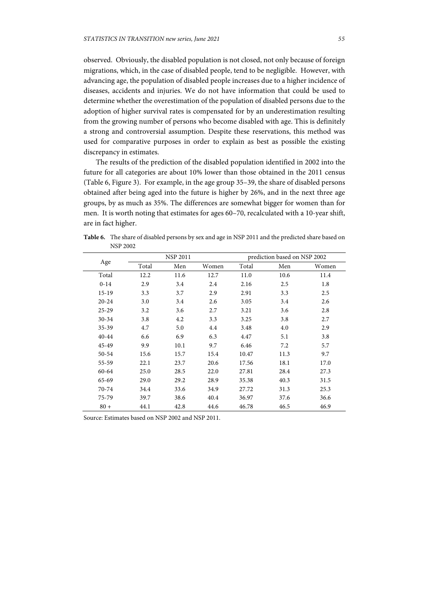observed. Obviously, the disabled population is not closed, not only because of foreign migrations, which, in the case of disabled people, tend to be negligible. However, with advancing age, the population of disabled people increases due to a higher incidence of diseases, accidents and injuries. We do not have information that could be used to determine whether the overestimation of the population of disabled persons due to the adoption of higher survival rates is compensated for by an underestimation resulting from the growing number of persons who become disabled with age. This is definitely a strong and controversial assumption. Despite these reservations, this method was used for comparative purposes in order to explain as best as possible the existing discrepancy in estimates.

The results of the prediction of the disabled population identified in 2002 into the future for all categories are about 10% lower than those obtained in the 2011 census (Table 6, Figure 3). For example, in the age group 35–39, the share of disabled persons obtained after being aged into the future is higher by 26%, and in the next three age groups, by as much as 35%. The differences are somewhat bigger for women than for men. It is worth noting that estimates for ages 60–70, recalculated with a 10-year shift, are in fact higher.

| Age       |       | <b>NSP 2011</b> |       |       | prediction based on NSP 2002 |       |  |
|-----------|-------|-----------------|-------|-------|------------------------------|-------|--|
|           | Total | Men             | Women | Total | Men                          | Women |  |
| Total     | 12.2  | 11.6            | 12.7  | 11.0  | 10.6                         | 11.4  |  |
| $0 - 14$  | 2.9   | 3.4             | 2.4   | 2.16  | 2.5                          | 1.8   |  |
| $15-19$   | 3.3   | 3.7             | 2.9   | 2.91  | 3.3                          | 2.5   |  |
| $20 - 24$ | 3.0   | 3.4             | 2.6   | 3.05  | 3.4                          | 2.6   |  |
| $25 - 29$ | 3.2   | 3.6             | 2.7   | 3.21  | 3.6                          | 2.8   |  |
| $30 - 34$ | 3.8   | 4.2             | 3.3   | 3.25  | 3.8                          | 2.7   |  |
| $35 - 39$ | 4.7   | 5.0             | 4.4   | 3.48  | 4.0                          | 2.9   |  |
| $40 - 44$ | 6.6   | 6.9             | 6.3   | 4.47  | 5.1                          | 3.8   |  |
| 45-49     | 9.9   | 10.1            | 9.7   | 6.46  | 7.2                          | 5.7   |  |
| 50-54     | 15.6  | 15.7            | 15.4  | 10.47 | 11.3                         | 9.7   |  |
| 55-59     | 22.1  | 23.7            | 20.6  | 17.56 | 18.1                         | 17.0  |  |
| 60-64     | 25.0  | 28.5            | 22.0  | 27.81 | 28.4                         | 27.3  |  |
| $65 - 69$ | 29.0  | 29.2            | 28.9  | 35.38 | 40.3                         | 31.5  |  |
| 70-74     | 34.4  | 33.6            | 34.9  | 27.72 | 31.3                         | 25.3  |  |
| 75-79     | 39.7  | 38.6            | 40.4  | 36.97 | 37.6                         | 36.6  |  |
| $80 +$    | 44.1  | 42.8            | 44.6  | 46.78 | 46.5                         | 46.9  |  |

**Table 6.** The share of disabled persons by sex and age in NSP 2011 and the predicted share based on NSP 2002

Source: Estimates based on NSP 2002 and NSP 2011.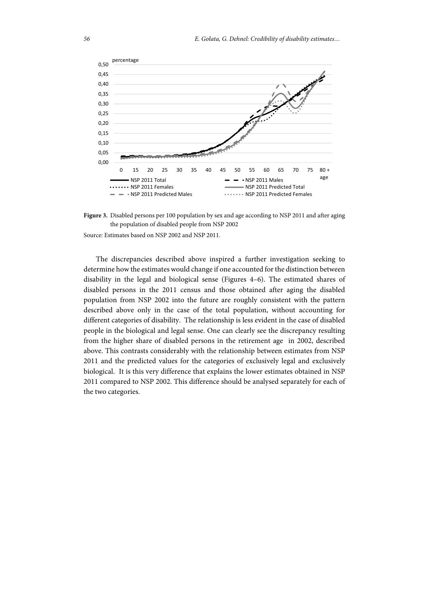



Source: Estimates based on NSP 2002 and NSP 2011.

The discrepancies described above inspired a further investigation seeking to determine how the estimates would change if one accounted for the distinction between disability in the legal and biological sense (Figures 4–6). The estimated shares of disabled persons in the 2011 census and those obtained after aging the disabled population from NSP 2002 into the future are roughly consistent with the pattern described above only in the case of the total population, without accounting for different categories of disability. The relationship is less evident in the case of disabled people in the biological and legal sense. One can clearly see the discrepancy resulting from the higher share of disabled persons in the retirement age in 2002, described above. This contrasts considerably with the relationship between estimates from NSP 2011 and the predicted values for the categories of exclusively legal and exclusively biological. It is this very difference that explains the lower estimates obtained in NSP 2011 compared to NSP 2002. This difference should be analysed separately for each of the two categories.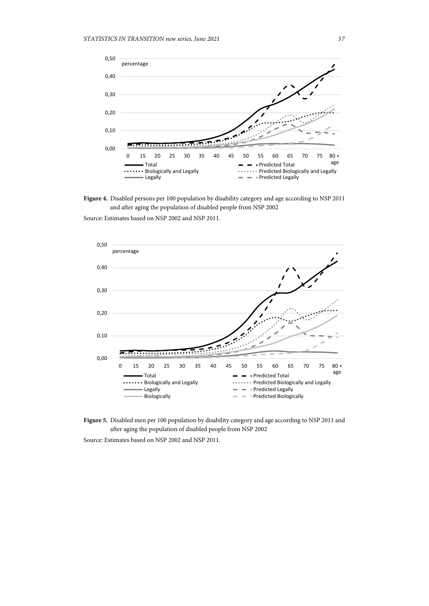



Source: Estimates based on NSP 2002 and NSP 2011.





Source: Estimates based on NSP 2002 and NSP 2011.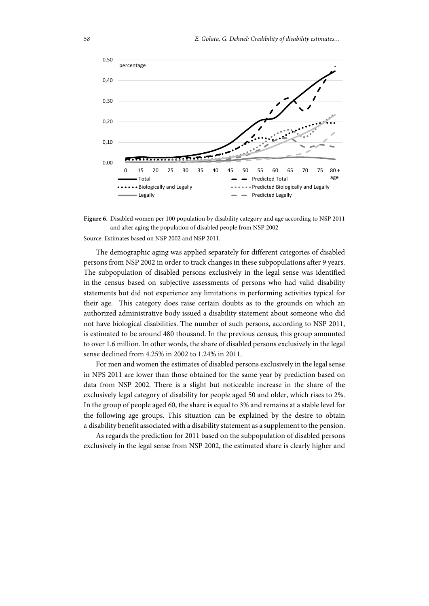



Source: Estimates based on NSP 2002 and NSP 2011.

The demographic aging was applied separately for different categories of disabled persons from NSP 2002 in order to track changes in these subpopulations after 9 years. The subpopulation of disabled persons exclusively in the legal sense was identified in the census based on subjective assessments of persons who had valid disability statements but did not experience any limitations in performing activities typical for their age. This category does raise certain doubts as to the grounds on which an authorized administrative body issued a disability statement about someone who did not have biological disabilities. The number of such persons, according to NSP 2011, is estimated to be around 480 thousand. In the previous census, this group amounted to over 1.6 million. In other words, the share of disabled persons exclusively in the legal sense declined from 4.25% in 2002 to 1.24% in 2011.

For men and women the estimates of disabled persons exclusively in the legal sense in NPS 2011 are lower than those obtained for the same year by prediction based on data from NSP 2002. There is a slight but noticeable increase in the share of the exclusively legal category of disability for people aged 50 and older, which rises to 2%. In the group of people aged 60, the share is equal to 3% and remains at a stable level for the following age groups. This situation can be explained by the desire to obtain a disability benefit associated with a disability statement as a supplement to the pension.

As regards the prediction for 2011 based on the subpopulation of disabled persons exclusively in the legal sense from NSP 2002, the estimated share is clearly higher and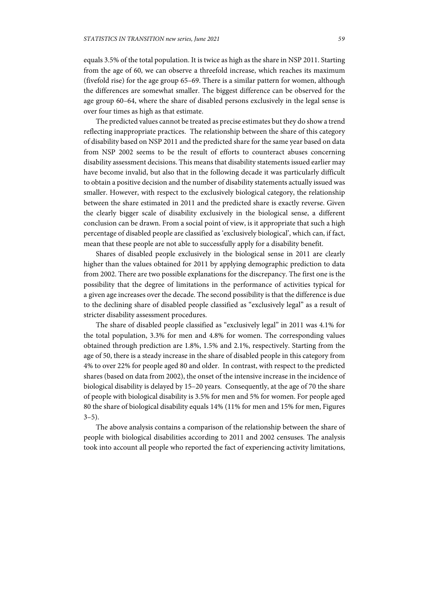equals 3.5% of the total population. It is twice as high as the share in NSP 2011. Starting from the age of 60, we can observe a threefold increase, which reaches its maximum (fivefold rise) for the age group 65–69. There is a similar pattern for women, although the differences are somewhat smaller. The biggest difference can be observed for the age group 60–64, where the share of disabled persons exclusively in the legal sense is over four times as high as that estimate.

The predicted values cannot be treated as precise estimates but they do show a trend reflecting inappropriate practices. The relationship between the share of this category of disability based on NSP 2011 and the predicted share for the same year based on data from NSP 2002 seems to be the result of efforts to counteract abuses concerning disability assessment decisions. This means that disability statements issued earlier may have become invalid, but also that in the following decade it was particularly difficult to obtain a positive decision and the number of disability statements actually issued was smaller. However, with respect to the exclusively biological category, the relationship between the share estimated in 2011 and the predicted share is exactly reverse. Given the clearly bigger scale of disability exclusively in the biological sense, a different conclusion can be drawn. From a social point of view, is it appropriate that such a high percentage of disabled people are classified as 'exclusively biological', which can, if fact, mean that these people are not able to successfully apply for a disability benefit.

Shares of disabled people exclusively in the biological sense in 2011 are clearly higher than the values obtained for 2011 by applying demographic prediction to data from 2002. There are two possible explanations for the discrepancy. The first one is the possibility that the degree of limitations in the performance of activities typical for a given age increases over the decade. The second possibility is that the difference is due to the declining share of disabled people classified as "exclusively legal" as a result of stricter disability assessment procedures.

The share of disabled people classified as "exclusively legal" in 2011 was 4.1% for the total population, 3.3% for men and 4.8% for women. The corresponding values obtained through prediction are 1.8%, 1.5% and 2.1%, respectively. Starting from the age of 50, there is a steady increase in the share of disabled people in this category from 4% to over 22% for people aged 80 and older. In contrast, with respect to the predicted shares (based on data from 2002), the onset of the intensive increase in the incidence of biological disability is delayed by 15–20 years. Consequently, at the age of 70 the share of people with biological disability is 3.5% for men and 5% for women. For people aged 80 the share of biological disability equals 14% (11% for men and 15% for men, Figures  $3-5$ ).

The above analysis contains a comparison of the relationship between the share of people with biological disabilities according to 2011 and 2002 censuses. The analysis took into account all people who reported the fact of experiencing activity limitations,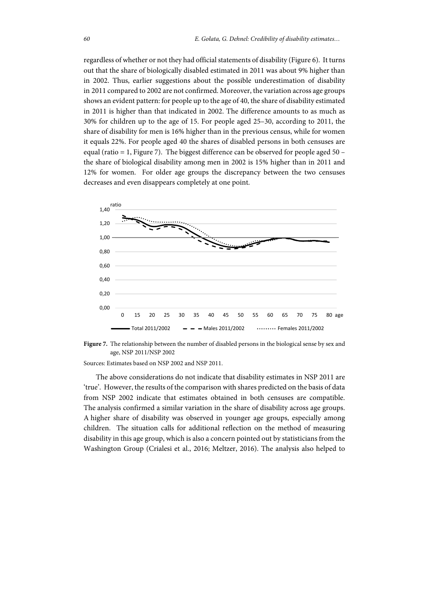regardless of whether or not they had official statements of disability (Figure 6). It turns out that the share of biologically disabled estimated in 2011 was about 9% higher than in 2002. Thus, earlier suggestions about the possible underestimation of disability in 2011 compared to 2002 are not confirmed. Moreover, the variation across age groups shows an evident pattern: for people up to the age of 40, the share of disability estimated in 2011 is higher than that indicated in 2002. The difference amounts to as much as 30% for children up to the age of 15. For people aged 25–30, according to 2011, the share of disability for men is 16% higher than in the previous census, while for women it equals 22%. For people aged 40 the shares of disabled persons in both censuses are equal (ratio = 1, Figure 7). The biggest difference can be observed for people aged 50 – the share of biological disability among men in 2002 is 15% higher than in 2011 and 12% for women. For older age groups the discrepancy between the two censuses decreases and even disappears completely at one point.





Sources: Estimates based on NSP 2002 and NSP 2011.

The above considerations do not indicate that disability estimates in NSP 2011 are 'true'. However, the results of the comparison with shares predicted on the basis of data from NSP 2002 indicate that estimates obtained in both censuses are compatible. The analysis confirmed a similar variation in the share of disability across age groups. A higher share of disability was observed in younger age groups, especially among children. The situation calls for additional reflection on the method of measuring disability in this age group, which is also a concern pointed out by statisticians from the Washington Group (Crialesi et al., 2016; Meltzer, 2016). The analysis also helped to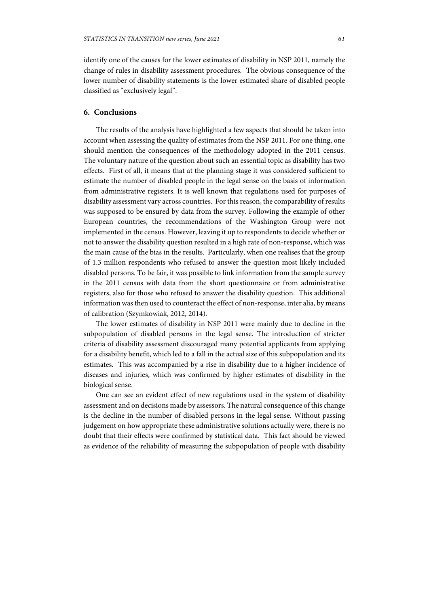identify one of the causes for the lower estimates of disability in NSP 2011, namely the change of rules in disability assessment procedures. The obvious consequence of the lower number of disability statements is the lower estimated share of disabled people classified as "exclusively legal".

# **6. Conclusions**

The results of the analysis have highlighted a few aspects that should be taken into account when assessing the quality of estimates from the NSP 2011. For one thing, one should mention the consequences of the methodology adopted in the 2011 census. The voluntary nature of the question about such an essential topic as disability has two effects. First of all, it means that at the planning stage it was considered sufficient to estimate the number of disabled people in the legal sense on the basis of information from administrative registers. It is well known that regulations used for purposes of disability assessment vary across countries. For this reason, the comparability of results was supposed to be ensured by data from the survey. Following the example of other European countries, the recommendations of the Washington Group were not implemented in the census. However, leaving it up to respondents to decide whether or not to answer the disability question resulted in a high rate of non-response, which was the main cause of the bias in the results. Particularly, when one realises that the group of 1.3 million respondents who refused to answer the question most likely included disabled persons. To be fair, it was possible to link information from the sample survey in the 2011 census with data from the short questionnaire or from administrative registers, also for those who refused to answer the disability question. This additional information was then used to counteract the effect of non-response, inter alia, by means of calibration (Szymkowiak, 2012, 2014).

The lower estimates of disability in NSP 2011 were mainly due to decline in the subpopulation of disabled persons in the legal sense. The introduction of stricter criteria of disability assessment discouraged many potential applicants from applying for a disability benefit, which led to a fall in the actual size of this subpopulation and its estimates. This was accompanied by a rise in disability due to a higher incidence of diseases and injuries, which was confirmed by higher estimates of disability in the biological sense.

One can see an evident effect of new regulations used in the system of disability assessment and on decisions made by assessors. The natural consequence of this change is the decline in the number of disabled persons in the legal sense. Without passing judgement on how appropriate these administrative solutions actually were, there is no doubt that their effects were confirmed by statistical data. This fact should be viewed as evidence of the reliability of measuring the subpopulation of people with disability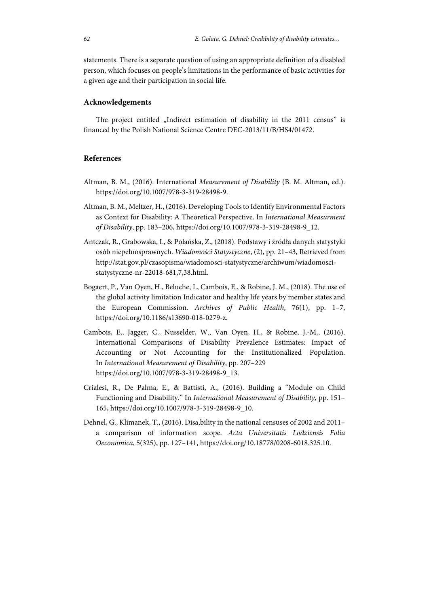statements. There is a separate question of using an appropriate definition of a disabled person, which focuses on people's limitations in the performance of basic activities for a given age and their participation in social life.

## **Acknowledgements**

The project entitled "Indirect estimation of disability in the 2011 census" is financed by the Polish National Science Centre DEC-2013/11/B/HS4/01472.

## **References**

- Altman, B. M., (2016). International *Measurement of Disability* (B. M. Altman, ed.). https://doi.org/10.1007/978-3-319-28498-9.
- Altman, B. M., Meltzer, H., (2016). Developing Tools to Identify Environmental Factors as Context for Disability: A Theoretical Perspective. In *International Measurment of Disability*, pp. 183–206, https://doi.org/10.1007/978-3-319-28498-9\_12.
- Antczak, R., Grabowska, I., & Polańska, Z., (2018). Podstawy i źródła danych statystyki osób niepełnosprawnych. *Wiadomości Statystyczne*, (2), pp. 21–43, Retrieved from http://stat.gov.pl/czasopisma/wiadomosci-statystyczne/archiwum/wiadomoscistatystyczne-nr-22018-681,7,38.html.
- Bogaert, P., Van Oyen, H., Beluche, I., Cambois, E., & Robine, J. M., (2018). The use of the global activity limitation Indicator and healthy life years by member states and the European Commission. *Archives of Public Health*, 76(1), pp. 1–7, https://doi.org/10.1186/s13690-018-0279-z.
- Cambois, E., Jagger, C., Nusselder, W., Van Oyen, H., & Robine, J.-M., (2016). International Comparisons of Disability Prevalence Estimates: Impact of Accounting or Not Accounting for the Institutionalized Population. In *International Measurement of Disability*, pp. 207–229 https://doi.org/10.1007/978-3-319-28498-9\_13.
- Crialesi, R., De Palma, E., & Battisti, A., (2016). Building a "Module on Child Functioning and Disability." In *International Measurement of Disability,* pp. 151– 165, https://doi.org/10.1007/978-3-319-28498-9\_10.
- Dehnel, G., Klimanek, T., (2016). Disa,bility in the national censuses of 2002 and 2011– a comparison of information scope. *Acta Universitatis Lodziensis Folia Oeconomica*, 5(325), pp. 127–141, https://doi.org/10.18778/0208-6018.325.10.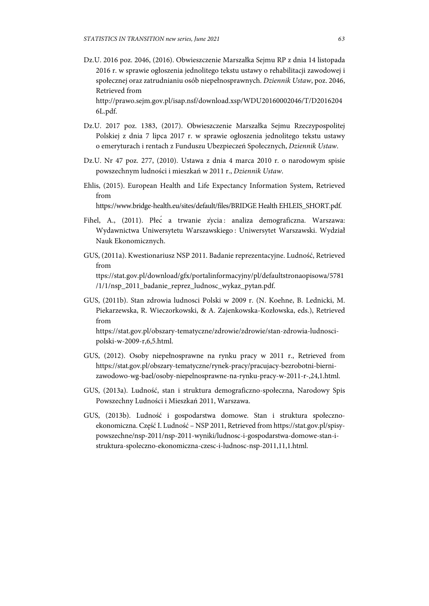Dz.U. 2016 poz. 2046, (2016). Obwieszczenie Marszałka Sejmu RP z dnia 14 listopada 2016 r. w sprawie ogłoszenia jednolitego tekstu ustawy o rehabilitacji zawodowej i społecznej oraz zatrudnianiu osób niepełnosprawnych. *Dziennik Ustaw*, poz. 2046, Retrieved from

 http://prawo.sejm.gov.pl/isap.nsf/download.xsp/WDU20160002046/T/D2016204 6L.pdf.

- Dz.U. 2017 poz. 1383, (2017). Obwieszczenie Marszałka Sejmu Rzeczypospolitej Polskiej z dnia 7 lipca 2017 r. w sprawie ogłoszenia jednolitego tekstu ustawy o emeryturach i rentach z Funduszu Ubezpieczeń Społecznych, *Dziennik Ustaw*.
- Dz.U. Nr 47 poz. 277, (2010). Ustawa z dnia 4 marca 2010 r. o narodowym spisie powszechnym ludności i mieszkań w 2011 r., *Dziennik Ustaw*.
- Ehlis, (2015). European Health and Life Expectancy Information System, Retrieved from

https://www.bridge-health.eu/sites/default/files/BRIDGE Health EHLEIS\_SHORT.pdf.

- Fihel, A., (2011). Płeć a trwanie życia : analiza demograficzna. Warszawa: Wydawnictwa Uniwersytetu Warszawskiego : Uniwersytet Warszawski. Wydział Nauk Ekonomicznych.
- GUS, (2011a). Kwestionariusz NSP 2011. Badanie reprezentacyjne. Ludność, Retrieved from ttps://stat.gov.pl/download/gfx/portalinformacyjny/pl/defaultstronaopisowa/5781 /1/1/nsp\_2011\_badanie\_reprez\_ludnosc\_wykaz\_pytan.pdf.
- GUS, (2011b). Stan zdrowia ludnosci Polski w 2009 r. (N. Koehne, B. Lednicki, M. Piekarzewska, R. Wieczorkowski, & A. Zajenkowska-Kozłowska, eds.), Retrieved from https://stat.gov.pl/obszary-tematyczne/zdrowie/zdrowie/stan-zdrowia-ludnoscipolski-w-2009-r,6,5.html.
- GUS, (2012). Osoby niepełnosprawne na rynku pracy w 2011 r., Retrieved from https://stat.gov.pl/obszary-tematyczne/rynek-pracy/pracujacy-bezrobotni-biernizawodowo-wg-bael/osoby-niepelnosprawne-na-rynku-pracy-w-2011-r-,24,1.html.
- GUS, (2013a). Ludność, stan i struktura demograficzno-społeczna, Narodowy Spis Powszechny Ludności i Mieszkań 2011, Warszawa.
- GUS, (2013b). Ludność i gospodarstwa domowe. Stan i struktura społecznoekonomiczna. Część I. Ludność – NSP 2011, Retrieved from https://stat.gov.pl/spisypowszechne/nsp-2011/nsp-2011-wyniki/ludnosc-i-gospodarstwa-domowe-stan-istruktura-spoleczno-ekonomiczna-czesc-i-ludnosc-nsp-2011,11,1.html.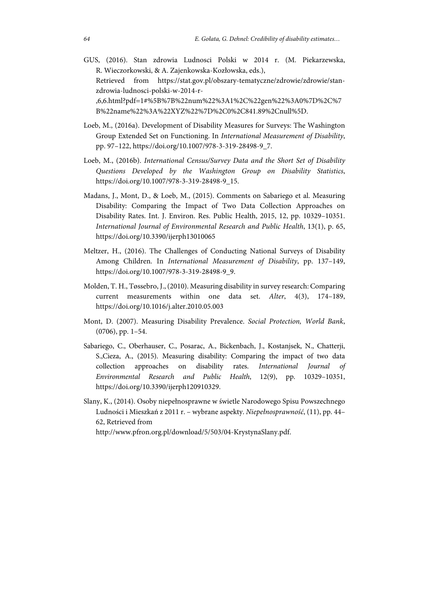- GUS, (2016). Stan zdrowia Ludnosci Polski w 2014 r. (M. Piekarzewska, R. Wieczorkowski, & A. Zajenkowska-Kozłowska, eds.), Retrieved from https://stat.gov.pl/obszary-tematyczne/zdrowie/zdrowie/stanzdrowia-ludnosci-polski-w-2014-r- ,6,6.html?pdf=1#%5B%7B%22num%22%3A1%2C%22gen%22%3A0%7D%2C%7 B%22name%22%3A%22XYZ%22%7D%2C0%2C841.89%2Cnull%5D.
- Loeb, M., (2016a). Development of Disability Measures for Surveys: The Washington Group Extended Set on Functioning. In *International Measurement of Disability*, pp. 97–122, https://doi.org/10.1007/978-3-319-28498-9\_7.
- Loeb, M., (2016b). *International Census/Survey Data and the Short Set of Disability Questions Developed by the Washington Group on Disability Statistics*, https://doi.org/10.1007/978-3-319-28498-9\_15.
- Madans, J., Mont, D., & Loeb, M., (2015). Comments on Sabariego et al. Measuring Disability: Comparing the Impact of Two Data Collection Approaches on Disability Rates. Int. J. Environ. Res. Public Health, 2015, 12, pp. 10329–10351. *International Journal of Environmental Research and Public Health*, 13(1), p. 65, https://doi.org/10.3390/ijerph13010065
- Meltzer, H., (2016). The Challenges of Conducting National Surveys of Disability Among Children. In *International Measurement of Disability*, pp. 137–149, https://doi.org/10.1007/978-3-319-28498-9\_9.
- Molden, T. H., Tøssebro, J., (2010). Measuring disability in survey research: Comparing current measurements within one data set. *Alter*, 4(3), 174–189, https://doi.org/10.1016/j.alter.2010.05.003
- Mont, D. (2007). Measuring Disability Prevalence. *Social Protection, World Bank*, (0706), pp. 1–54.
- Sabariego, C., Oberhauser, C., Posarac, A., Bickenbach, J., Kostanjsek, N., Chatterji, S.,Cieza, A., (2015). Measuring disability: Comparing the impact of two data collection approaches on disability rates. *International Journal of Environmental Research and Public Health*, 12(9), pp. 10329–10351, https://doi.org/10.3390/ijerph120910329.
- Slany, K., (2014). Osoby niepełnosprawne w świetle Narodowego Spisu Powszechnego Ludności i Mieszkań z 2011 r. – wybrane aspekty. *Niepełnosprawność*, (11), pp. 44– 62, Retrieved from

http://www.pfron.org.pl/download/5/503/04-KrystynaSlany.pdf.